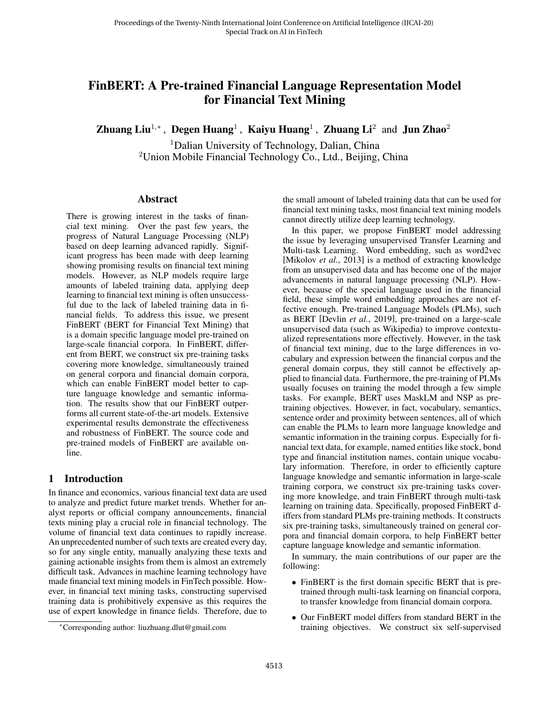# FinBERT: A Pre-trained Financial Language Representation Model for Financial Text Mining

Zhuang Liu<sup>1,∗</sup>, Degen Huang<sup>1</sup>, Kaiyu Huang<sup>1</sup>, Zhuang Li<sup>2</sup> and Jun Zhao<sup>2</sup>

<sup>1</sup>Dalian University of Technology, Dalian, China  $2$ Union Mobile Financial Technology Co., Ltd., Beijing, China

#### Abstract

There is growing interest in the tasks of financial text mining. Over the past few years, the progress of Natural Language Processing (NLP) based on deep learning advanced rapidly. Significant progress has been made with deep learning showing promising results on financial text mining models. However, as NLP models require large amounts of labeled training data, applying deep learning to financial text mining is often unsuccessful due to the lack of labeled training data in financial fields. To address this issue, we present FinBERT (BERT for Financial Text Mining) that is a domain specific language model pre-trained on large-scale financial corpora. In FinBERT, different from BERT, we construct six pre-training tasks covering more knowledge, simultaneously trained on general corpora and financial domain corpora, which can enable FinBERT model better to capture language knowledge and semantic information. The results show that our FinBERT outperforms all current state-of-the-art models. Extensive experimental results demonstrate the effectiveness and robustness of FinBERT. The source code and pre-trained models of FinBERT are available online.

### 1 Introduction

In finance and economics, various financial text data are used to analyze and predict future market trends. Whether for analyst reports or official company announcements, financial texts mining play a crucial role in financial technology. The volume of financial text data continues to rapidly increase. An unprecedented number of such texts are created every day, so for any single entity, manually analyzing these texts and gaining actionable insights from them is almost an extremely difficult task. Advances in machine learning technology have made financial text mining models in FinTech possible. However, in financial text mining tasks, constructing supervised training data is prohibitively expensive as this requires the use of expert knowledge in finance fields. Therefore, due to the small amount of labeled training data that can be used for financial text mining tasks, most financial text mining models cannot directly utilize deep learning technology.

In this paper, we propose FinBERT model addressing the issue by leveraging unsupervised Transfer Learning and Multi-task Learning. Word embedding, such as word2vec [\[Mikolov](#page-6-0) *et al.*, 2013] is a method of extracting knowledge from an unsupervised data and has become one of the major advancements in natural language processing (NLP). However, because of the special language used in the financial field, these simple word embedding approaches are not effective enough. Pre-trained Language Models (PLMs), such as BERT [\[Devlin](#page-6-1) *et al.*, 2019], pre-trained on a large-scale unsupervised data (such as Wikipedia) to improve contextualized representations more effectively. However, in the task of financial text mining, due to the large differences in vocabulary and expression between the financial corpus and the general domain corpus, they still cannot be effectively applied to financial data. Furthermore, the pre-training of PLMs usually focuses on training the model through a few simple tasks. For example, BERT uses MaskLM and NSP as pretraining objectives. However, in fact, vocabulary, semantics, sentence order and proximity between sentences, all of which can enable the PLMs to learn more language knowledge and semantic information in the training corpus. Especially for financial text data, for example, named entities like stock, bond type and financial institution names, contain unique vocabulary information. Therefore, in order to efficiently capture language knowledge and semantic information in large-scale training corpora, we construct six pre-training tasks covering more knowledge, and train FinBERT through multi-task learning on training data. Specifically, proposed FinBERT differs from standard PLMs pre-training methods. It constructs six pre-training tasks, simultaneously trained on general corpora and financial domain corpora, to help FinBERT better capture language knowledge and semantic information.

In summary, the main contributions of our paper are the following:

- FinBERT is the first domain specific BERT that is pretrained through multi-task learning on financial corpora, to transfer knowledge from financial domain corpora.
- Our FinBERT model differs from standard BERT in the training objectives. We construct six self-supervised

<sup>∗</sup>Corresponding author: liuzhuang.dlut@gmail.com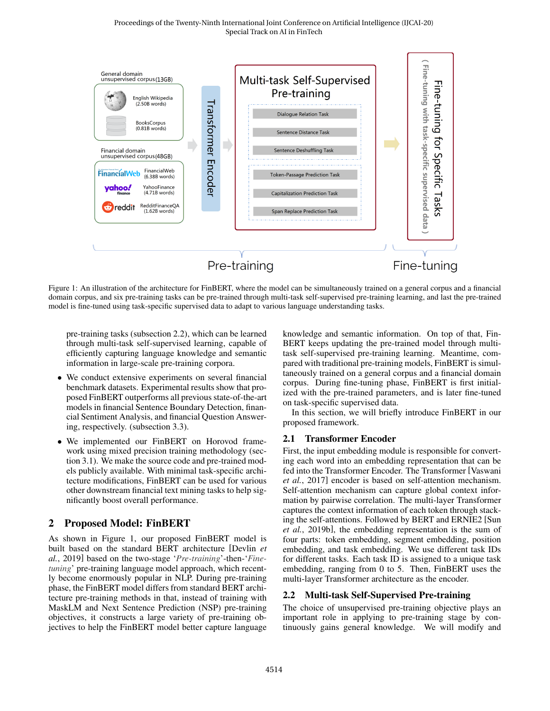<span id="page-1-1"></span>

Figure 1: An illustration of the architecture for FinBERT, where the model can be simultaneously trained on a general corpus and a financial domain corpus, and six pre-training tasks can be pre-trained through multi-task self-supervised pre-training learning, and last the pre-trained model is fine-tuned using task-specific supervised data to adapt to various language understanding tasks.

pre-training tasks [\(subsection 2.2\)](#page-1-0), which can be learned through multi-task self-supervised learning, capable of efficiently capturing language knowledge and semantic information in large-scale pre-training corpora.

- We conduct extensive experiments on several financial benchmark datasets. Experimental results show that proposed FinBERT outperforms all previous state-of-the-art models in financial Sentence Boundary Detection, financial Sentiment Analysis, and financial Question Answering, respectively. [\(subsection 3.3\)](#page-4-0).
- We implemented our FinBERT on Horovod framework using mixed precision training methodology [\(sec](#page-2-0)[tion 3.1\)](#page-2-0). We make the source code and pre-trained models publicly available. With minimal task-specific architecture modifications, FinBERT can be used for various other downstream financial text mining tasks to help significantly boost overall performance.

## 2 Proposed Model: FinBERT

As shown in [Figure 1,](#page-1-1) our proposed FinBERT model is built based on the standard BERT architecture [\[Devlin](#page-6-1) *et al.*[, 2019\]](#page-6-1) based on the two-stage '*Pre-training*'-then-'*Finetuning*' pre-training language model approach, which recently become enormously popular in NLP. During pre-training phase, the FinBERT model differs from standard BERT architecture pre-training methods in that, instead of training with MaskLM and Next Sentence Prediction (NSP) pre-training objectives, it constructs a large variety of pre-training objectives to help the FinBERT model better capture language knowledge and semantic information. On top of that, Fin-BERT keeps updating the pre-trained model through multitask self-supervised pre-training learning. Meantime, compared with traditional pre-training models, FinBERT is simultaneously trained on a general corpus and a financial domain corpus. During fine-tuning phase, FinBERT is first initialized with the pre-trained parameters, and is later fine-tuned on task-specific supervised data.

In this section, we will briefly introduce FinBERT in our proposed framework.

### 2.1 Transformer Encoder

First, the input embedding module is responsible for converting each word into an embedding representation that can be fed into the Transformer Encoder. The Transformer [\[Vaswani](#page-6-2) *et al.*[, 2017\]](#page-6-2) encoder is based on self-attention mechanism. Self-attention mechanism can capture global context information by pairwise correlation. The multi-layer Transformer captures the context information of each token through stacking the self-attentions. Followed by BERT and ERNIE2 [\[Sun](#page-6-3) *et al.*[, 2019b\]](#page-6-3), the embedding representation is the sum of four parts: token embedding, segment embedding, position embedding, and task embedding. We use different task IDs for different tasks. Each task ID is assigned to a unique task embedding, ranging from 0 to 5. Then, FinBERT uses the multi-layer Transformer architecture as the encoder.

### <span id="page-1-0"></span>2.2 Multi-task Self-Supervised Pre-training

The choice of unsupervised pre-training objective plays an important role in applying to pre-training stage by continuously gains general knowledge. We will modify and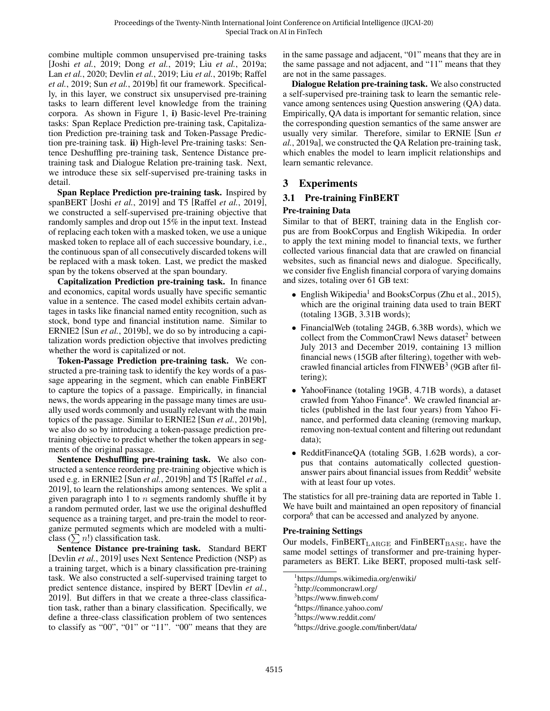combine multiple common unsupervised pre-training tasks [Joshi *et al.*[, 2019;](#page-6-4) Dong *et al.*[, 2019;](#page-6-5) Liu *et al.*[, 2019a;](#page-6-6) Lan *et al.*[, 2020;](#page-6-7) [Devlin](#page-6-1) *et al.*, 2019; Liu *et al.*[, 2019b;](#page-6-8) [Raffel](#page-6-9) *et al.*[, 2019;](#page-6-9) Sun *et al.*[, 2019b\]](#page-6-3) fit our framework. Specifically, in this layer, we construct six unsupervised pre-training tasks to learn different level knowledge from the training corpora. As shown in [Figure 1,](#page-1-1) i) Basic-level Pre-training tasks: Span Replace Prediction pre-training task, Capitalization Prediction pre-training task and Token-Passage Prediction pre-training task. ii) High-level Pre-training tasks: Sentence Deshuffling pre-training task, Sentence Distance pretraining task and Dialogue Relation pre-training task. Next, we introduce these six self-supervised pre-training tasks in detail.

Span Replace Prediction pre-training task. Inspired by spanBERT [Joshi *et al.*[, 2019\]](#page-6-4) and T5 [Raffel *et al.*[, 2019\]](#page-6-9), we constructed a self-supervised pre-training objective that randomly samples and drop out 15% in the input text. Instead of replacing each token with a masked token, we use a unique masked token to replace all of each successive boundary, i.e., the continuous span of all consecutively discarded tokens will be replaced with a mask token. Last, we predict the masked span by the tokens observed at the span boundary.

Capitalization Prediction pre-training task. In finance and economics, capital words usually have specific semantic value in a sentence. The cased model exhibits certain advantages in tasks like financial named entity recognition, such as stock, bond type and financial institution name. Similar to ERNIE2 [Sun *et al.*[, 2019b\]](#page-6-3), we do so by introducing a capitalization words prediction objective that involves predicting whether the word is capitalized or not.

Token-Passage Prediction pre-training task. We constructed a pre-training task to identify the key words of a passage appearing in the segment, which can enable FinBERT to capture the topics of a passage. Empirically, in financial news, the words appearing in the passage many times are usually used words commonly and usually relevant with the main topics of the passage. Similar to ERNIE2 [Sun *et al.*[, 2019b\]](#page-6-3), we also do so by introducing a token-passage prediction pretraining objective to predict whether the token appears in segments of the original passage.

Sentence Deshuffling pre-training task. We also constructed a sentence reordering pre-training objective which is used e.g. in ERNIE2 [Sun *et al.*[, 2019b\]](#page-6-3) and T5 [\[Raffel](#page-6-9) *et al.*, [2019\]](#page-6-9), to learn the relationships among sentences. We split a given paragraph into 1 to  $n$  segments randomly shuffle it by a random permuted order, last we use the original deshuffled sequence as a training target, and pre-train the model to reorganize permuted segments which are modeled with a multiclass  $(\sum n!)$  classification task.

Sentence Distance pre-training task. Standard BERT [\[Devlin](#page-6-1) *et al.*, 2019] uses Next Sentence Prediction (NSP) as a training target, which is a binary classification pre-training task. We also constructed a self-supervised training target to predict sentence distance, inspired by BERT [\[Devlin](#page-6-1) *et al.*, [2019\]](#page-6-1). But differs in that we create a three-class classification task, rather than a binary classification. Specifically, we define a three-class classification problem of two sentences to classify as "00", "01" or "11". "00" means that they are in the same passage and adjacent, "01" means that they are in the same passage and not adjacent, and "11" means that they are not in the same passages.

Dialogue Relation pre-training task. We also constructed a self-supervised pre-training task to learn the semantic relevance among sentences using Question answering (QA) data. Empirically, QA data is important for semantic relation, since the corresponding question semantics of the same answer are usually very similar. Therefore, similar to ERNIE [\[Sun](#page-6-10) *et al.*[, 2019a\]](#page-6-10), we constructed the QA Relation pre-training task, which enables the model to learn implicit relationships and learn semantic relevance.

## 3 Experiments

### <span id="page-2-7"></span>3.1 Pre-training FinBERT

#### Pre-training Data

Similar to that of BERT, training data in the English corpus are from BookCorpus and English Wikipedia. In order to apply the text mining model to financial texts, we further collected various financial data that are crawled on financial websites, such as financial news and dialogue. Specifically, we consider five English financial corpora of varying domains and sizes, totaling over 61 GB text:

- English Wikipedia<sup>[1](#page-2-1)</sup> and BooksCorpus (Zhu et al., 2015), which are the original training data used to train BERT (totaling 13GB, 3.31B words);
- FinancialWeb (totaling 24GB, 6.38B words), which we collect from the CommonCrawl News dataset<sup>[2](#page-2-2)</sup> between July 2013 and December 2019, containing 13 million financial news (15GB after filtering), together with webcrawled financial articles from  $\overline{F}$ INWEB<sup>[3](#page-2-3)</sup> (9GB after filtering);
- YahooFinance (totaling 19GB, 4.71B words), a dataset crawled from Yahoo Finance<sup>[4](#page-2-4)</sup>. We crawled financial articles (published in the last four years) from Yahoo Finance, and performed data cleaning (removing markup, removing non-textual content and filtering out redundant data);
- RedditFinanceQA (totaling 5GB, 1.62B words), a corpus that contains automatically collected question-answer pairs about financial issues from Reddit<sup>[5](#page-2-5)</sup> website with at least four up votes.

The statistics for all pre-training data are reported in [Table 1.](#page-3-0) We have built and maintained an open repository of financial corpora<sup>[6](#page-2-6)</sup> that can be accessed and analyzed by anyone.

#### <span id="page-2-0"></span>Pre-training Settings

Our models,  $FinBERT<sub>LARGE</sub>$  and  $FinBERT<sub>BASE</sub>$ , have the same model settings of transformer and pre-training hyperparameters as BERT. Like BERT, proposed multi-task self-

<span id="page-2-1"></span><sup>1</sup> https://dumps.wikimedia.org/enwiki/

<span id="page-2-2"></span><sup>&</sup>lt;sup>2</sup>http://commoncrawl.org/

<span id="page-2-3"></span><sup>&</sup>lt;sup>3</sup>https://www.finweb.com/

<span id="page-2-4"></span><sup>4</sup> https://finance.yahoo.com/

<span id="page-2-5"></span><sup>5</sup> https://www.reddit.com/

<span id="page-2-6"></span><sup>6</sup> https://drive.google.com/finbert/data/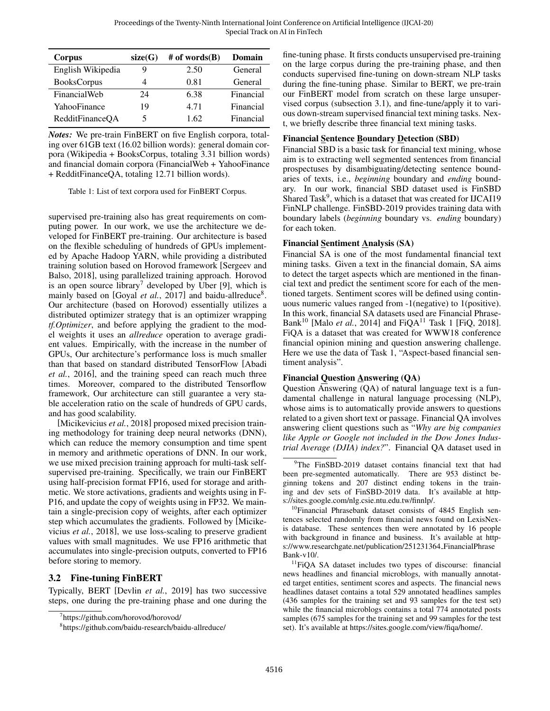<span id="page-3-0"></span>

| Corpus             | size(G) | # of words $(B)$ | Domain    |
|--------------------|---------|------------------|-----------|
| English Wikipedia  | 9       | 2.50             | General   |
| <b>BooksCorpus</b> | 4       | 0.81             | General   |
| FinancialWeb       | 24      | 6.38             | Financial |
| YahooFinance       | 19      | 4.71             | Financial |
| RedditFinanceOA    | 5       | 1.62             | Financial |

*Notes:* We pre-train FinBERT on five English corpora, totaling over 61GB text (16.02 billion words): general domain corpora (Wikipedia + BooksCorpus, totaling 3.31 billion words) and financial domain corpora (FinancialWeb + YahooFinance + RedditFinanceQA, totaling 12.71 billion words).

Table 1: List of text corpora used for FinBERT Corpus.

supervised pre-training also has great requirements on computing power. In our work, we use the architecture we developed for FinBERT pre-training. Our architecture is based on the flexible scheduling of hundreds of GPUs implemented by Apache Hadoop YARN, while providing a distributed training solution based on Horovod framework [\[Sergeev and](#page-6-11) [Balso, 2018\]](#page-6-11), using parallelized training approach. Horovod is an open source library<sup>[7](#page-3-1)</sup> developed by Uber [9], which is mainly based on [Goyal et al.[, 2017\]](#page-6-12) and baidu-allreduce<sup>[8](#page-3-2)</sup>. Our architecture (based on Horovod) essentially utilizes a distributed optimizer strategy that is an optimizer wrapping *tf.Optimizer*, and before applying the gradient to the model weights it uses an *allreduce* operation to average gradient values. Empirically, with the increase in the number of GPUs, Our architecture's performance loss is much smaller than that based on standard distributed TensorFlow [\[Abadi](#page-6-13) *et al.*[, 2016\]](#page-6-13), and the training speed can reach much three times. Moreover, compared to the distributed Tensorflow framework, Our architecture can still guarantee a very stable acceleration ratio on the scale of hundreds of GPU cards, and has good scalability.

[\[Micikevicius](#page-6-14) *et al.*, 2018] proposed mixed precision training methodology for training deep neural networks (DNN), which can reduce the memory consumption and time spent in memory and arithmetic operations of DNN. In our work, we use mixed precision training approach for multi-task selfsupervised pre-training. Specifically, we train our FinBERT using half-precision format FP16, used for storage and arithmetic. We store activations, gradients and weights using in F-P16, and update the copy of weights using in FP32. We maintain a single-precision copy of weights, after each optimizer step which accumulates the gradients. Followed by [\[Micike](#page-6-14)vicius *et al.*[, 2018\]](#page-6-14), we use loss-scaling to preserve gradient values with small magnitudes. We use FP16 arithmetic that accumulates into single-precision outputs, converted to FP16 before storing to memory.

## 3.2 Fine-tuning FinBERT

Typically, BERT [Devlin *et al.*[, 2019\]](#page-6-1) has two successive steps, one during the pre-training phase and one during the fine-tuning phase. It firsts conducts unsupervised pre-training on the large corpus during the pre-training phase, and then conducts supervised fine-tuning on down-stream NLP tasks during the fine-tuning phase. Similar to BERT, we pre-train our FinBERT model from scratch on these large unsupervised corpus [\(subsection 3.1\)](#page-2-7), and fine-tune/apply it to various down-stream supervised financial text mining tasks. Next, we briefly describe three financial text mining tasks.

### Financial Sentence Boundary Detection (SBD)

Financial SBD is a basic task for financial text mining, whose aim is to extracting well segmented sentences from financial prospectuses by disambiguating/detecting sentence boundaries of texts, i.e., *beginning* boundary and *ending* boundary. In our work, financial SBD dataset used is FinSBD Shared Task<sup>[9](#page-3-3)</sup>, which is a dataset that was created for IJCAI19 FinNLP challenge. FinSBD-2019 provides training data with boundary labels (*beginning* boundary vs. *ending* boundary) for each token.

#### Financial Sentiment Analysis (SA)

Financial SA is one of the most fundamental financial text mining tasks. Given a text in the financial domain, SA aims to detect the target aspects which are mentioned in the financial text and predict the sentiment score for each of the mentioned targets. Sentiment scores will be defined using continuous numeric values ranged from -1(negative) to 1(positive). In this work, financial SA datasets used are Financial Phrase-Bank<sup>[10](#page-3-4)</sup> [Malo *et al.*[, 2014\]](#page-6-15) and FiQA<sup>[11](#page-3-5)</sup> Task 1 [\[FiQ, 2018\]](#page-6-16). FiQA is a dataset that was created for WWW18 conference financial opinion mining and question answering challenge. Here we use the data of Task 1, "Aspect-based financial sentiment analysis".

### Financial Question Answering (QA)

Question Answering (QA) of natural language text is a fundamental challenge in natural language processing (NLP), whose aims is to automatically provide answers to questions related to a given short text or passage. Financial QA involves answering client questions such as "*Why are big companies like Apple or Google not included in the Dow Jones Industrial Average (DJIA) index?*". Financial QA dataset used in

<span id="page-3-4"></span><sup>10</sup>Financial Phrasebank dataset consists of 4845 English sentences selected randomly from financial news found on LexisNexis database. These sentences then were annotated by 16 people with background in finance and business. It's available at https://www.researchgate.net/publication/251231364\_FinancialPhrase Bank-v10/.

<span id="page-3-5"></span><sup>11</sup>FiQA SA dataset includes two types of discourse: financial news headlines and financial microblogs, with manually annotated target entities, sentiment scores and aspects. The financial news headlines dataset contains a total 529 annotated headlines samples (436 samples for the training set and 93 samples for the test set) while the financial microblogs contains a total 774 annotated posts samples (675 samples for the training set and 99 samples for the test set). It's available at https://sites.google.com/view/fiqa/home/.

<span id="page-3-1"></span><sup>7</sup> https://github.com/horovod/horovod/

<span id="page-3-2"></span><sup>8</sup> https://github.com/baidu-research/baidu-allreduce/

<span id="page-3-3"></span><sup>&</sup>lt;sup>9</sup>The FinSBD-2019 dataset contains financial text that had been pre-segmented automatically. There are 953 distinct beginning tokens and 207 distinct ending tokens in the training and dev sets of FinSBD-2019 data. It's available at https://sites.google.com/nlg.csie.ntu.edu.tw/finnlp/.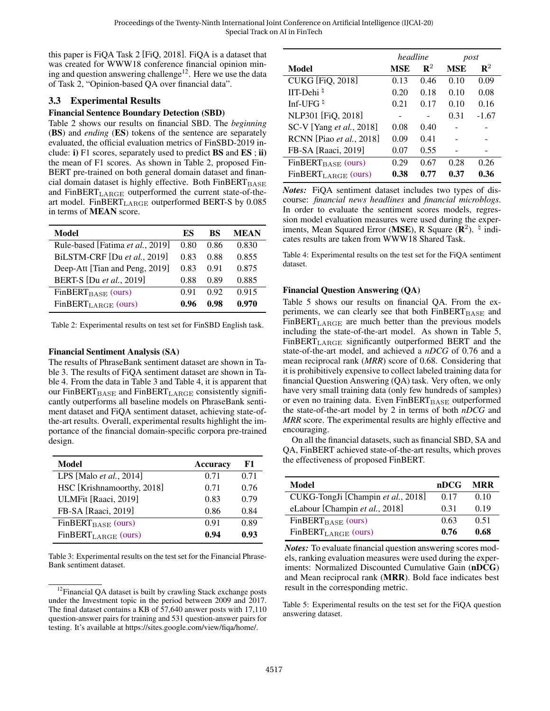this paper is FiQA Task 2 [\[FiQ, 2018\]](#page-6-16). FiQA is a dataset that was created for WWW18 conference financial opinion min-ing and question answering challenge<sup>[12](#page-4-1)</sup>. Here we use the data of Task 2, "Opinion-based QA over financial data".

#### <span id="page-4-0"></span>3.3 Experimental Results

#### Financial Sentence Boundary Detection (SBD)

[Table 2](#page-4-2) shows our results on financial SBD. The *beginning* (BS) and *ending* (ES) tokens of the sentence are separately evaluated, the official evaluation metrics of FinSBD-2019 include: i) F1 scores, separately used to predict BS and ES ; ii) the mean of F1 scores. As shown in [Table 2,](#page-4-2) proposed Fin-BERT pre-trained on both general domain dataset and financial domain dataset is highly effective. Both  $FinBERT_{BASE}$ and FinBERT<sub>LARGE</sub> outperformed the current state-of-theart model. FinBERT<sub>LARGE</sub> outperformed BERT-S by 0.085 in terms of MEAN score.

<span id="page-4-2"></span>

| Model                            | ES    | BS   | <b>MEAN</b> |
|----------------------------------|-------|------|-------------|
| Rule-based [Fatima et al., 2019] | 0.80  | 0.86 | 0.830       |
| BiLSTM-CRF [Du et al., 2019]     | 0.83  | 0.88 | 0.855       |
| Deep-Att [Tian and Peng, 2019]   | 0.83  | 0.91 | 0.875       |
| BERT-S [Du et al., 2019]         | 0.88  | 0.89 | 0.885       |
| $FinBERT_{BASE}$ (ours)          | () 91 | 0.92 | 0.915       |
| $FinBERT_{LARGE}$ (ours)         | 0.96  | 0.98 | 0.970       |

Table 2: Experimental results on test set for FinSBD English task.

#### Financial Sentiment Analysis (SA)

The results of PhraseBank sentiment dataset are shown in [Ta](#page-4-3)[ble 3.](#page-4-3) The results of FiQA sentiment dataset are shown in [Ta](#page-4-4)[ble 4.](#page-4-4) From the data in [Table 3](#page-4-3) and [Table 4,](#page-4-4) it is apparent that our FinBERT $_{\text{BASE}}$  and FinBERT<sub>LARGE</sub> consistently significantly outperforms all baseline models on PhraseBank sentiment dataset and FiQA sentiment dataset, achieving state-ofthe-art results. Overall, experimental results highlight the importance of the financial domain-specific corpora pre-trained design.

<span id="page-4-3"></span>

| Model                           | <b>Accuracy</b> | F1   |
|---------------------------------|-----------------|------|
| LPS [Malo <i>et al.</i> , 2014] | 0.71            | 0.71 |
| HSC [Krishnamoorthy, 2018]      | 0.71            | 0.76 |
| ULMFit [Raaci, 2019]            | 0.83            | 0.79 |
| FB-SA [Raaci, 2019]             | 0.86            | 0.84 |
| FinBERT <sub>BASE</sub> (ours)  | 0.91            | 0.89 |
| $FinBERT_{LARGE}$ (ours)        | 0.94            | 0.93 |

Table 3: Experimental results on the test set for the Financial Phrase-Bank sentiment dataset.

<span id="page-4-4"></span>

|                                 | headline |                | post       |                |
|---------------------------------|----------|----------------|------------|----------------|
| Model                           | MSE      | $\mathbf{R}^2$ | <b>MSE</b> | $\mathbf{R}^2$ |
| <b>CUKG</b> [FiQ, 2018]         | 0.13     | 0.46           | 0.10       | 0.09           |
| IIT-Dehi $\frac{1}{4}$          | 0.20     | 0.18           | 0.10       | 0.08           |
| Inf-UFG $\n $                   | 0.21     | 0.17           | 0.10       | 0.16           |
| NLP301 [FiQ, 2018]              |          |                | 0.31       | $-1.67$        |
| SC-V [Yang et al., 2018]        | 0.08     | 0.40           |            |                |
| RCNN [Piao et al., 2018]        | 0.09     | 0.41           |            |                |
| FB-SA [Raaci, 2019]             | 0.07     | 0.55           |            |                |
| FinBERT <sub>BASE</sub> (ours)  | 0.29     | 0.67           | 0.28       | 0.26           |
| FinBERT <sub>LARGE</sub> (ours) | 0.38     | 0.77           | 0.37       | 0.36           |

*Notes:* FiQA sentiment dataset includes two types of discourse: *financial news headlines* and *financial microblogs*. In order to evaluate the sentiment scores models, regression model evaluation measures were used during the experiments, Mean Squared Error (MSE), R Square ( $\mathbf{R}^2$ ). <sup>4</sup> indicates results are taken from WWW18 Shared Task.

Table 4: Experimental results on the test set for the FiQA sentiment dataset.

#### Financial Question Answering (QA)

[Table 5](#page-4-5) shows our results on financial QA. From the experiments, we can clearly see that both  $FinBERT<sub>BASE</sub>$  and  $FinBERT<sub>LARGE</sub>$  are much better than the previous models including the state-of-the-art model. As shown in [Table 5,](#page-4-5) FinBERTLARGE significantly outperformed BERT and the state-of-the-art model, and achieved a *nDCG* of 0.76 and a mean reciprocal rank (*MRR*) score of 0.68. Considering that it is prohibitively expensive to collect labeled training data for financial Question Answering (QA) task. Very often, we only have very small training data (only few hundreds of samples) or even no training data. Even  $FinBERT<sub>BASE</sub>$  outperformed the state-of-the-art model by 2 in terms of both *nDCG* and *MRR* score. The experimental results are highly effective and encouraging.

On all the financial datasets, such as financial SBD, SA and QA, FinBERT achieved state-of-the-art results, which proves the effectiveness of proposed FinBERT.

<span id="page-4-5"></span>

| Model                              | nDCG | MRR  |
|------------------------------------|------|------|
| CUKG-TongJi [Champin et al., 2018] | 0.17 | 0.10 |
| eLabour [Champin et al., 2018]     | 0.31 | 0.19 |
| $FinBERT_{BASE}$ (ours)            | 0.63 | 0.51 |
| $FinBERT_{LARGE}$ (ours)           | 0.76 | 0.68 |

*Notes:* To evaluate financial question answering scores models, ranking evaluation measures were used during the experiments: Normalized Discounted Cumulative Gain (nDCG) and Mean reciprocal rank (MRR). Bold face indicates best result in the corresponding metric.

Table 5: Experimental results on the test set for the FiQA question answering dataset.

<span id="page-4-1"></span><sup>&</sup>lt;sup>12</sup>Financial QA dataset is built by crawling Stack exchange posts under the Investment topic in the period between 2009 and 2017. The final dataset contains a KB of 57,640 answer posts with 17,110 question-answer pairs for training and 531 question-answer pairs for testing. It's available at https://sites.google.com/view/fiqa/home/.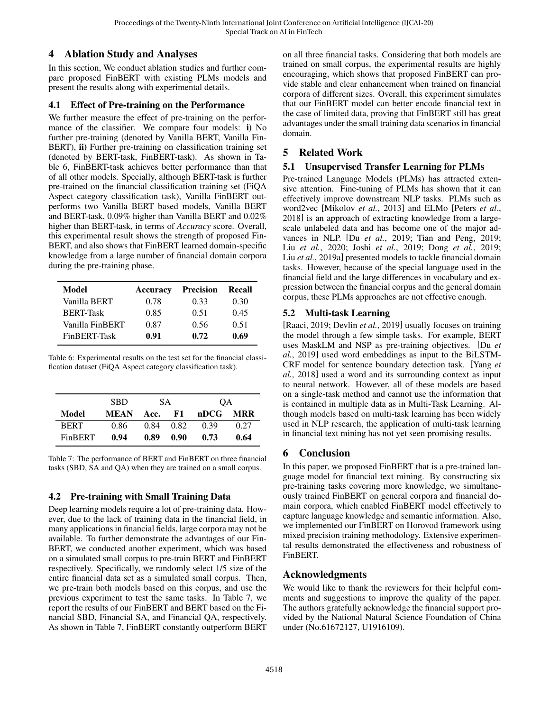## 4 Ablation Study and Analyses

In this section, We conduct ablation studies and further compare proposed FinBERT with existing PLMs models and present the results along with experimental details.

### 4.1 Effect of Pre-training on the Performance

We further measure the effect of pre-training on the performance of the classifier. We compare four models: i) No further pre-training (denoted by Vanilla BERT, Vanilla Fin-BERT), ii) Further pre-training on classification training set (denoted by BERT-task, FinBERT-task). As shown in [Ta](#page-5-0)[ble 6,](#page-5-0) FinBERT-task achieves better performance than that of all other models. Specially, although BERT-task is further pre-trained on the financial classification training set (FiQA Aspect category classification task), Vanilla FinBERT outperforms two Vanilla BERT based models, Vanilla BERT and BERT-task, 0.09% higher than Vanilla BERT and 0.02% higher than BERT-task, in terms of *Accuracy* score. Overall, this experimental result shows the strength of proposed Fin-BERT, and also shows that FinBERT learned domain-specific knowledge from a large number of financial domain corpora during the pre-training phase.

<span id="page-5-0"></span>

| Model            | <b>Accuracy</b> | <b>Precision</b> | Recall |
|------------------|-----------------|------------------|--------|
| Vanilla BERT     | 0.78            | 0.33             | 0.30   |
| <b>BERT-Task</b> | 0.85            | 0.51             | 0.45   |
| Vanilla FinBERT  | 0.87            | 0.56             | 0.51   |
| FinBERT-Task     | 0.91            | 0.72             | 0.69   |

Table 6: Experimental results on the test set for the financial classification dataset (FiQA Aspect category classification task).

<span id="page-5-1"></span>

|             | <b>SBD</b> | SА   |      | ОA   |      |
|-------------|------------|------|------|------|------|
| Model       | MEAN       | Acc. | F1.  | nDCG | MRR  |
| <b>BERT</b> | 0.86       | 0.84 | 0.82 | 0.39 | 0.27 |
| FinBERT     | 0.94       | 0.89 | 0.90 | 0.73 | 0.64 |

Table 7: The performance of BERT and FinBERT on three financial tasks (SBD, SA and QA) when they are trained on a small corpus.

# 4.2 Pre-training with Small Training Data

Deep learning models require a lot of pre-training data. However, due to the lack of training data in the financial field, in many applications in financial fields, large corpora may not be available. To further demonstrate the advantages of our Fin-BERT, we conducted another experiment, which was based on a simulated small corpus to pre-train BERT and FinBERT respectively. Specifically, we randomly select 1/5 size of the entire financial data set as a simulated small corpus. Then, we pre-train both models based on this corpus, and use the previous experiment to test the same tasks. In [Table 7,](#page-5-1) we report the results of our FinBERT and BERT based on the Financial SBD, Financial SA, and Financial QA, respectively. As shown in [Table 7,](#page-5-1) FinBERT constantly outperform BERT on all three financial tasks. Considering that both models are trained on small corpus, the experimental results are highly encouraging, which shows that proposed FinBERT can provide stable and clear enhancement when trained on financial corpora of different sizes. Overall, this experiment simulates that our FinBERT model can better encode financial text in the case of limited data, proving that FinBERT still has great advantages under the small training data scenarios in financial domain.

# 5 Related Work

### 5.1 Unsupervised Transfer Learning for PLMs

Pre-trained Language Models (PLMs) has attracted extensive attention. Fine-tuning of PLMs has shown that it can effectively improve downstream NLP tasks. PLMs such as word2vec [\[Mikolov](#page-6-0) *et al.*, 2013] and ELMo [\[Peters](#page-6-25) *et al.*, [2018\]](#page-6-25) is an approach of extracting knowledge from a largescale unlabeled data and has become one of the major advances in NLP. [Du *et al.*[, 2019;](#page-6-18) [Tian and Peng, 2019;](#page-6-19) Liu *et al.*[, 2020;](#page-6-26) Joshi *et al.*[, 2019;](#page-6-4) Dong *et al.*[, 2019;](#page-6-5) Liu *et al.*[, 2019a\]](#page-6-6) presented models to tackle financial domain tasks. However, because of the special language used in the financial field and the large differences in vocabulary and expression between the financial corpus and the general domain corpus, these PLMs approaches are not effective enough.

## 5.2 Multi-task Learning

[\[Raaci, 2019;](#page-6-21) [Devlin](#page-6-1) *et al.*, 2019] usually focuses on training the model through a few simple tasks. For example, BERT uses MaskLM and NSP as pre-training objectives. [\[Du](#page-6-18) *et al.*[, 2019\]](#page-6-18) used word embeddings as input to the BiLSTM-CRF model for sentence boundary detection task. [\[Yang](#page-6-22) *et al.*[, 2018\]](#page-6-22) used a word and its surrounding context as input to neural network. However, all of these models are based on a single-task method and cannot use the information that is contained in multiple data as in Multi-Task Learning. Although models based on multi-task learning has been widely used in NLP research, the application of multi-task learning in financial text mining has not yet seen promising results.

# 6 Conclusion

In this paper, we proposed FinBERT that is a pre-trained language model for financial text mining. By constructing six pre-training tasks covering more knowledge, we simultaneously trained FinBERT on general corpora and financial domain corpora, which enabled FinBERT model effectively to capture language knowledge and semantic information. Also, we implemented our FinBERT on Horovod framework using mixed precision training methodology. Extensive experimental results demonstrated the effectiveness and robustness of FinBERT.

# Acknowledgments

We would like to thank the reviewers for their helpful comments and suggestions to improve the quality of the paper. The authors gratefully acknowledge the financial support provided by the National Natural Science Foundation of China under (No.61672127, U1916109).